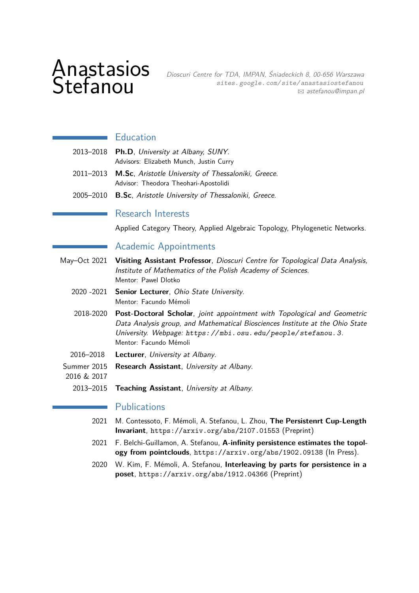# Anastasios

AIIdSLaSIUS Dioscuri Centre for TDA, IMPAN, Śniadeckich 8, 00-656 Warszawa<br>Stefanou sites. google. com/site/anastasiostefanou<br>astefanou@impan.pl [sites. google. com/ site/ anastasiostefanou](http://sites.google.com/site/anastasiostefanou) B [astefanou@impan.pl](mailto:astefanou@impan.pl)

## **Education**

| 2013–2018 Ph.D, University at Albany, SUNY.                   |
|---------------------------------------------------------------|
| Advisors: Elizabeth Munch, Justin Curry                       |
| 2011-2013 M.Sc, Aristotle University of Thessaloniki, Greece. |
| Advisor: Theodora Theohari-Apostolidi                         |

2005–2010 **B.Sc**, Aristotle University of Thessaloniki, Greece.

## Research Interests

Applied Category Theory, Applied Algebraic Topology, Phylogenetic Networks.

## Academic Appointments

- May–Oct 2021 **Visiting Assistant Professor**, Dioscuri Centre for Topological Data Analysis, Institute of Mathematics of the Polish Academy of Sciences. Mentor: Pawel Dlotko
	- 2020 -2021 **Senior Lecturer**, Ohio State University. Mentor: Facundo Mémoli
	- 2018-2020 **Post-Doctoral Scholar**, joint appointment with Topological and Geometric Data Analysis group, and Mathematical Biosciences Institute at the Ohio State University. Webpage: [https: // mbi. osu. edu/ people/ stefanou. 3](https://mbi.osu.edu/people/stefanou.3). Mentor: Facundo Mémoli
	- 2016–2018 **Lecturer**, University at Albany.
- Summer 2015 **Research Assistant**, University at Albany.
- 2016 & 2017
	- 2013–2015 **Teaching Assistant**, University at Albany.

#### **Publications**

- 2021 M. Contessoto, F. Mémoli, A. Stefanou, L. Zhou, **The Persistenrt Cup-Length Invariant**, <https://arxiv.org/abs/2107.01553> (Preprint)
- 2021 F. Belchi-Guillamon, A. Stefanou, **A-infinity persistence estimates the topology from pointclouds**, <https://arxiv.org/abs/1902.09138> (In Press).
- 2020 W. Kim, F. Mémoli, A. Stefanou, **Interleaving by parts for persistence in a poset**, <https://arxiv.org/abs/1912.04366> (Preprint)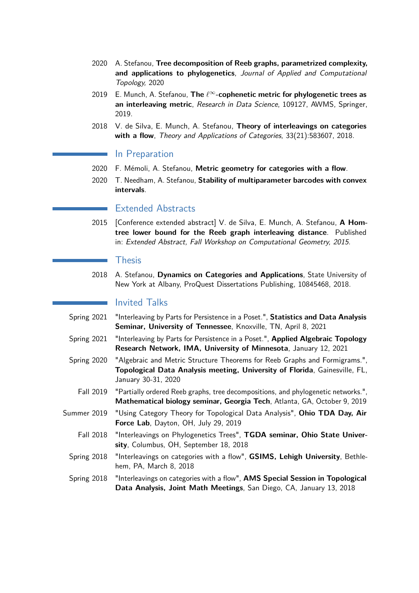- 2020 A. Stefanou, **Tree decomposition of Reeb graphs, parametrized complexity, and applications to phylogenetics**, Journal of Applied and Computational Topology, 2020
- 2019 E. Munch, A. Stefanou, **The** *`*∞**-cophenetic metric for phylogenetic trees as an interleaving metric**, Research in Data Science, 109127, AWMS, Springer, 2019.
- 2018 V. de Silva, E. Munch, A. Stefanou, **Theory of interleavings on categories with a flow**, Theory and Applications of Categories, 33(21):583607, 2018.

#### In Preparation

- 2020 F. Mémoli, A. Stefanou, **Metric geometry for categories with a flow**.
- 2020 T. Needham, A. Stefanou, **Stability of multiparameter barcodes with convex intervals**.

### Extended Abstracts

2015 [Conference extended abstract] V. de Silva, E. Munch, A. Stefanou, **A Homtree lower bound for the Reeb graph interleaving distance**. Published in: Extended Abstract, Fall Workshop on Computational Geometry, 2015.

#### Thesis

2018 A. Stefanou, **Dynamics on Categories and Applications**, State University of New York at Albany, ProQuest Dissertations Publishing, 10845468, 2018.

#### Invited Talks

- Spring 2021 "Interleaving by Parts for Persistence in a Poset.", **Statistics and Data Analysis Seminar, University of Tennessee**, Knoxville, TN, April 8, 2021
- Spring 2021 "Interleaving by Parts for Persistence in a Poset.", **Applied Algebraic Topology Research Network, IMA, University of Minnesota**, January 12, 2021
- Spring 2020 "Algebraic and Metric Structure Theorems for Reeb Graphs and Formigrams.", **Topological Data Analysis meeting, University of Florida**, Gainesville, FL, January 30-31, 2020
	- Fall 2019 "Partially ordered Reeb graphs, tree decompositions, and phylogenetic networks.", **Mathematical biology seminar, Georgia Tech**, Atlanta, GA, October 9, 2019
- Summer 2019 "Using Category Theory for Topological Data Analysis", **Ohio TDA Day, Air Force Lab**, Dayton, OH, July 29, 2019
	- Fall 2018 "Interleavings on Phylogenetics Trees", **TGDA seminar, Ohio State University**, Columbus, OH, September 18, 2018
	- Spring 2018 "Interleavings on categories with a flow", **GSIMS, Lehigh University**, Bethlehem, PA, March 8, 2018
	- Spring 2018 "Interleavings on categories with a flow", **AMS Special Session in Topological Data Analysis, Joint Math Meetings**, San Diego, CA, January 13, 2018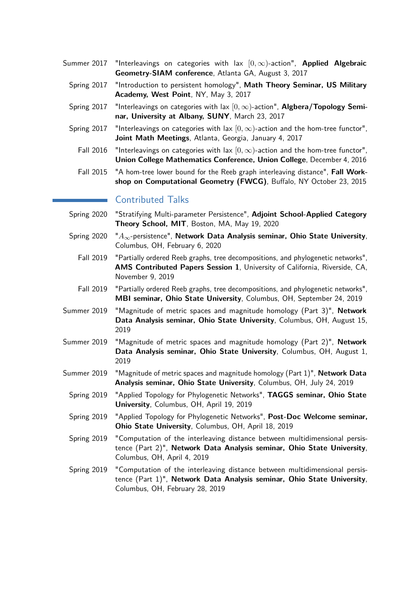- Summer 2017 "Interleavings on categories with lax [0*,* ∞)-action", **Applied Algebraic Geometry-SIAM conference**, Atlanta GA, August 3, 2017
	- Spring 2017 "Introduction to persistent homology", **Math Theory Seminar, US Military Academy, West Point**, NY, May 3, 2017
	- Spring 2017 "Interleavings on categories with lax [0*,* ∞)-action", **Algbera/Topology Seminar, University at Albany, SUNY**, March 23, 2017
	- Spring 2017 "Interleavings on categories with lax  $[0, \infty)$ -action and the hom-tree functor", **Joint Math Meetings**, Atlanta, Georgia, January 4, 2017
		- Fall 2016 "Interleavings on categories with lax  $[0, \infty)$ -action and the hom-tree functor", **Union College Mathematics Conference, Union College**, December 4, 2016
		- Fall 2015 "A hom-tree lower bound for the Reeb graph interleaving distance", **Fall Workshop on Computational Geometry (FWCG)**, Buffalo, NY October 23, 2015

### Contributed Talks

- Spring 2020 "Stratifying Multi-parameter Persistence", **Adjoint School-Applied Category Theory School, MIT**, Boston, MA, May 19, 2020
- Spring 2020 "*A*∞-persistence", **Network Data Analysis seminar, Ohio State University**, Columbus, OH, February 6, 2020
	- Fall 2019 "Partially ordered Reeb graphs, tree decompositions, and phylogenetic networks", **AMS Contributed Papers Session 1**, University of California, Riverside, CA, November 9, 2019
	- Fall 2019 "Partially ordered Reeb graphs, tree decompositions, and phylogenetic networks", **MBI seminar, Ohio State University**, Columbus, OH, September 24, 2019
- Summer 2019 "Magnitude of metric spaces and magnitude homology (Part 3)", **Network Data Analysis seminar, Ohio State University**, Columbus, OH, August 15, 2019
- Summer 2019 "Magnitude of metric spaces and magnitude homology (Part 2)", **Network Data Analysis seminar, Ohio State University**, Columbus, OH, August 1, 2019
- Summer 2019 "Magnitude of metric spaces and magnitude homology (Part 1)", **Network Data Analysis seminar, Ohio State University**, Columbus, OH, July 24, 2019
	- Spring 2019 "Applied Topology for Phylogenetic Networks", **TAGGS seminar, Ohio State University**, Columbus, OH, April 19, 2019
	- Spring 2019 "Applied Topology for Phylogenetic Networks", **Post-Doc Welcome seminar, Ohio State University**, Columbus, OH, April 18, 2019
	- Spring 2019 "Computation of the interleaving distance between multidimensional persistence (Part 2)", **Network Data Analysis seminar, Ohio State University**, Columbus, OH, April 4, 2019
	- Spring 2019 "Computation of the interleaving distance between multidimensional persistence (Part 1)", **Network Data Analysis seminar, Ohio State University**, Columbus, OH, February 28, 2019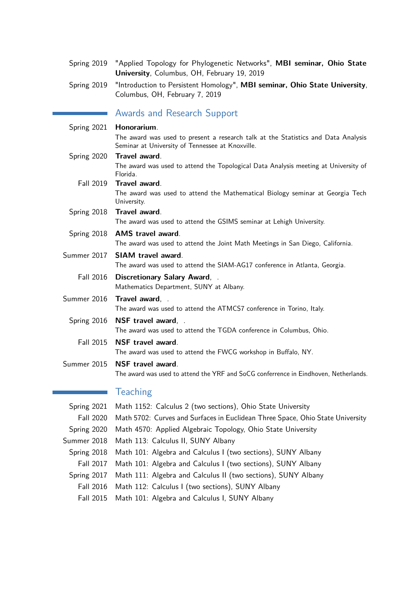| Spring 2019 "Applied Topology for Phylogenetic Networks", MBI seminar, Ohio State |
|-----------------------------------------------------------------------------------|
| <b>University, Columbus, OH, February 19, 2019</b>                                |

Spring 2019 "Introduction to Persistent Homology", **MBI seminar, Ohio State University**, Columbus, OH, February 7, 2019

# Awards and Research Support

| Spring 2021      | Honorarium.                                                                                                                           |
|------------------|---------------------------------------------------------------------------------------------------------------------------------------|
|                  | The award was used to present a research talk at the Statistics and Data Analysis<br>Seminar at University of Tennessee at Knoxville. |
| Spring 2020      | Travel award.                                                                                                                         |
|                  | The award was used to attend the Topological Data Analysis meeting at University of<br>Florida.                                       |
| <b>Fall 2019</b> | Travel award.                                                                                                                         |
|                  | The award was used to attend the Mathematical Biology seminar at Georgia Tech<br>University.                                          |
| Spring 2018      | Travel award.                                                                                                                         |
|                  | The award was used to attend the GSIMS seminar at Lehigh University.                                                                  |
| Spring 2018      | <b>AMS travel award.</b>                                                                                                              |
|                  | The award was used to attend the Joint Math Meetings in San Diego, California.                                                        |
| Summer 2017      | <b>SIAM travel award.</b>                                                                                                             |
|                  | The award was used to attend the SIAM-AG17 conference in Atlanta, Georgia.                                                            |
| <b>Fall 2016</b> | Discretionary Salary Award, .                                                                                                         |
|                  | Mathematics Department, SUNY at Albany.                                                                                               |
| Summer 2016      | Travel award, .                                                                                                                       |
|                  | The award was used to attend the ATMCS7 conference in Torino, Italy.                                                                  |
| Spring 2016      | NSF travel award, .                                                                                                                   |
|                  | The award was used to attend the TGDA conference in Columbus, Ohio.                                                                   |
| <b>Fall 2015</b> | NSF travel award.                                                                                                                     |
|                  | The award was used to attend the FWCG workshop in Buffalo, NY.                                                                        |
| Summer 2015      | NSF travel award.                                                                                                                     |
|                  | The award was used to attend the YRF and SoCG conferrence in Eindhoven, Netherlands.                                                  |
|                  | <b>Teaching</b>                                                                                                                       |
| Spring 2021      | Math 1152: Calculus 2 (two sections), Ohio State University                                                                           |
| <b>Fall 2020</b> | Math 5702: Curves and Surfaces in Euclidean Three Space, Ohio State University                                                        |

- Spring 2020 Math 4570: Applied Algebraic Topology, Ohio State University
- Summer 2018 Math 113: Calculus II, SUNY Albany
- Spring 2018 Math 101: Algebra and Calculus I (two sections), SUNY Albany
- Fall 2017 Math 101: Algebra and Calculus I (two sections), SUNY Albany
- Spring 2017 Math 111: Algebra and Calculus II (two sections), SUNY Albany
	- Fall 2016 Math 112: Calculus I (two sections), SUNY Albany
	- Fall 2015 Math 101: Algebra and Calculus I, SUNY Albany